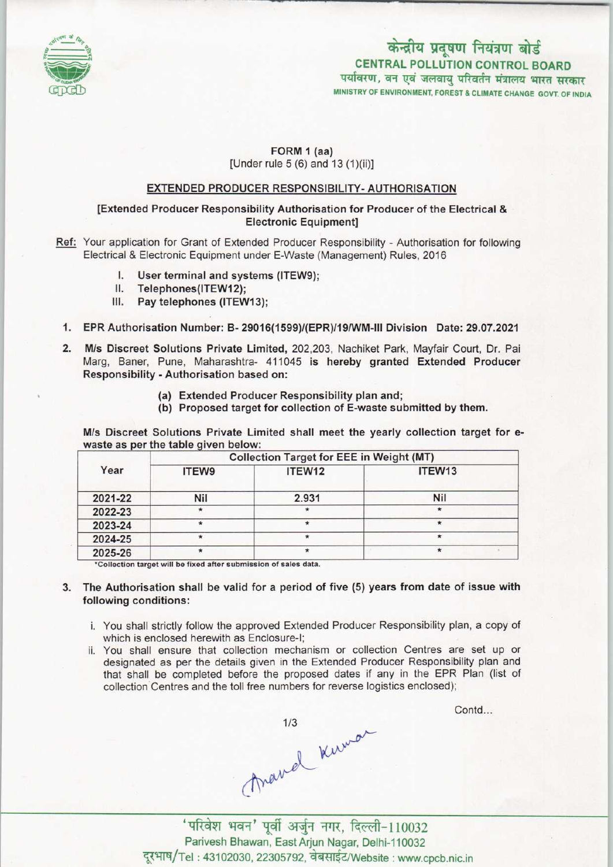

# MINISTRY OF ENVIRONMENT, FOREST & CLIMATE CHANGE GOVT. OF INDIA केन्द्रीय प्रदूषण नियंत्रण बोर्ड CENTRAL POLLUTION CONTROL BOARD<br>पर्यावरण, वन एवं जलवायु परिवर्तन मंत्रालय भारत सरकार

## FORM 1 (aa)

[Under rule 5 (6) and 13 (1)(ii)]

### EXTENDED PRODUCER RESPONSIBILITY-AUTHORISATION

#### [Extended Producer Responsibility Authorisation for Producer of the Electrical & Electronic Equipment]

Ref: Your application for Grant of Extended Producer Responsibility - Authorisation for following Electrical & Electronic Equipment under E-Waste (Management) Rules, 2016<br> **I.** User terminal and systems (ITEW9);<br> **II.** Telephones (ITEW12)

- I. User terminal and systems (ITEW9);<br>II. Telephones(ITEW12);<br>III. Pav telephones (ITEW13):
- 
- Pay telephones (ITEW13):
- 1.EPR Authorisation Number: B- 29016(1599)/(EPR)/19/WM-lll Division Date: 29.07.2021
- 2.M/s Discreet Solutions Private Limited, 202,203, Nachiket Park, Mayfair Court, Dr. Pai Marg, Baner, Pune, Maharashtra- 411045 is hereby granted Extended Producer Responsibility - Authorisation based on:
	- (a)Extended Producer Responsibility plan and;
	- (b) Proposed target for collection of E-waste submitted by them.

M/s Discreet Solutions Private Limited shall meet the yearly collection target for ewaste as per the table given below:

| Year    | <b>Collection Target for EEE in Weight (MT)</b> |        |            |
|---------|-------------------------------------------------|--------|------------|
|         | <b>ITEW9</b>                                    | ITEW12 | ITEW13     |
| 2021-22 | Nil                                             | 2.931  | <b>Nil</b> |
| 2022-23 | $\star$                                         |        |            |
| 2023-24 | $\star$                                         |        |            |
| 2024-25 | $\star$                                         |        |            |
| 2025-26 |                                                 |        |            |

\*Collection target will be fixed after submission of sales data

- 3. The Authorisation shall be valid for a period of five (5) years from date of issue with following conditions:
	- i. You shall strictly follow the approved Extended Producer Responsibility plan, a copy of which is enclosed herewith as Enclosure-I;
	- ii. You shall ensure that collection mechanism or collection Centres are set up or designated as per the details given in the Extended Producer Responsibility plan and that shall be completed before the proposed dates if any in the EPR Plan (list of collection Centres and the toll free numbers for reverse logistics enclosed);

Contd...

mand Kuman<br>'परिवेश भवन' पूर्वी अर्जुन नगर, दिल्ली-110032

Parivesh Bhawan, EastArjun Nagar, Delhi-110032 दूरभाष/Tel: 43102030, 22305792, वेबसाईट/Website: www.cpcb.nic.in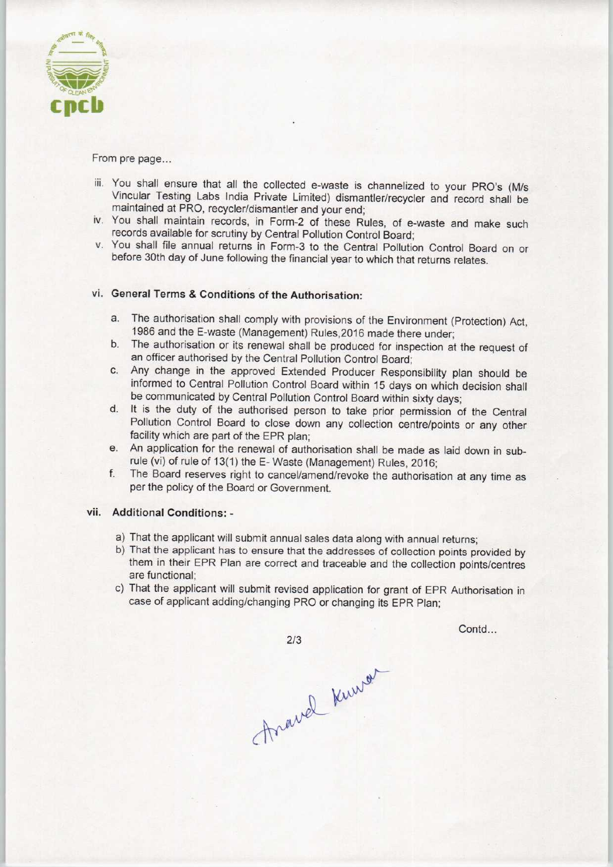

From pre page...

- iii. You shall ensure that all the collected e-waste is channelized to your PRO's (M/s Vincular Testing Labs India Private Limited) dismantler/recycler and record shall be maintained at PRO, recycler/dismantler and your end;
- iv. You shall maintain records, in Form-2 of these Rules, of e-waste and make such records available for scrutiny by Central Pollution Control Board;
- v. You shall file annual returns in Form-3 to the Central Pollution Control Board on or before 30th day of June following the financial year to which that returns relates.

## vi. General Terms & Conditions of the Authorisation:

- a.The authorisation shall comply with provisions of the Environment (Protection) Act, 1986 and the E-waste (Management) Ruies.2016 made there under;
- b. The authorisation or its renewal shall be produced for inspection at the request of an officer authorised by the Central Pollution Control Board;
- c.Any change in the approved Extended Producer Responsibility plan should be informed to Central Pollution Control Board within 15 days on which decision shall be communicated by Central Pollution Control Board within sixty days;
- d. It is the duty of the authorised person to take prior permission of the Central Pollution Control Board to close down any collection centre/points or any other facility which are part of the EPR plan;
- e. An application for the renewal of authorisation shall be made as laid down in subrule (vi) of rule of 13(1) the E- Waste (Management) Rules, 2016;
- f.The Board reserves right to cancel/amend/revoke the authorisation at any time as per the policy of the Board or Government.

#### vil. Additional Conditions: -

- a)That the applicant will submit annual sales data along with annual returns;
- b)That the applicant has to ensure that the addresses of collection points provided by them in their EPR Plan are correct and traceable and the collection points/centres are functional;
- c) That the applicant will submit revised application for grant of EPR Authorisation in case of applicant adding/changing PRO or changing its EPR Plan;

 $2/3$ 

Contd...

Anavel Kurver